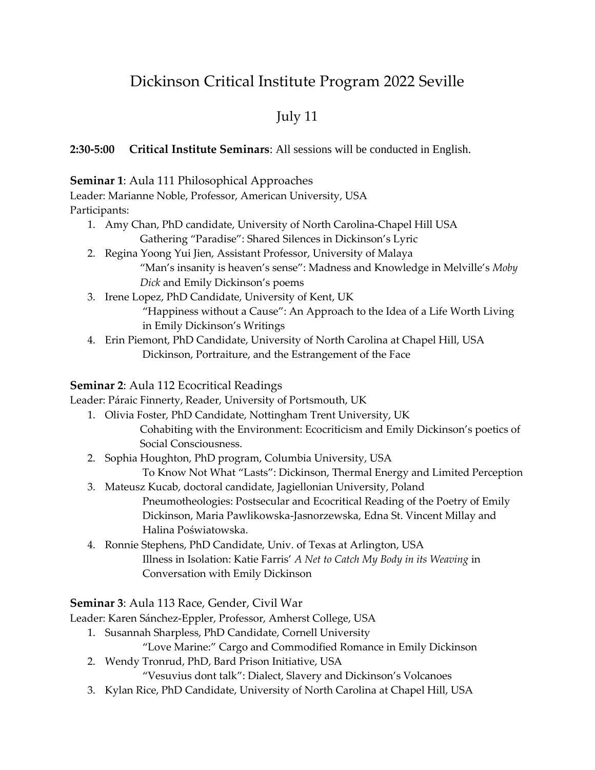# Dickinson Critical Institute Program 2022 Seville

# July 11

## **2:30-5:00 Critical Institute Seminars**: All sessions will be conducted in English.

#### **Seminar 1**: Aula 111 Philosophical Approaches

Leader: Marianne Noble, Professor, American University, USA Participants:

- 1. Amy Chan, PhD candidate, University of North Carolina-Chapel Hill USA Gathering "Paradise": Shared Silences in Dickinson's Lyric
- 2. Regina Yoong Yui Jien, Assistant Professor, University of Malaya "Man's insanity is heaven's sense": Madness and Knowledge in Melville's *Moby Dick* and Emily Dickinson's poems
- 3. Irene Lopez, PhD Candidate, University of Kent, UK "Happiness without a Cause": An Approach to the Idea of a Life Worth Living in Emily Dickinson's Writings
- 4. Erin Piemont, PhD Candidate, University of North Carolina at Chapel Hill, USA Dickinson, Portraiture, and the Estrangement of the Face

## **Seminar 2**: Aula 112 Ecocritical Readings

Leader: Páraic Finnerty, Reader, University of Portsmouth, UK

- 1. Olivia Foster, PhD Candidate, Nottingham Trent University, UK Cohabiting with the Environment: Ecocriticism and Emily Dickinson's poetics of Social Consciousness.
- 2. Sophia Houghton, PhD program, Columbia University, USA To Know Not What "Lasts": Dickinson, Thermal Energy and Limited Perception
- 3. Mateusz Kucab, doctoral candidate, Jagiellonian University, Poland Pneumotheologies: Postsecular and Ecocritical Reading of the Poetry of Emily Dickinson, Maria Pawlikowska-Jasnorzewska, Edna St. Vincent Millay and Halina Poświatowska.
- 4. Ronnie Stephens, PhD Candidate, Univ. of Texas at Arlington, USA Illness in Isolation: Katie Farris' *A Net to Catch My Body in its Weaving* in Conversation with Emily Dickinson

# **Seminar 3**: Aula 113 Race, Gender, Civil War

Leader: Karen Sánchez-Eppler, Professor, Amherst College, USA

- 1. Susannah Sharpless, PhD Candidate, Cornell University
	- "Love Marine:" Cargo and Commodified Romance in Emily Dickinson
- 2. Wendy Tronrud, PhD, Bard Prison Initiative, USA

"Vesuvius dont talk": Dialect, Slavery and Dickinson's Volcanoes

3. Kylan Rice, PhD Candidate, University of North Carolina at Chapel Hill, USA